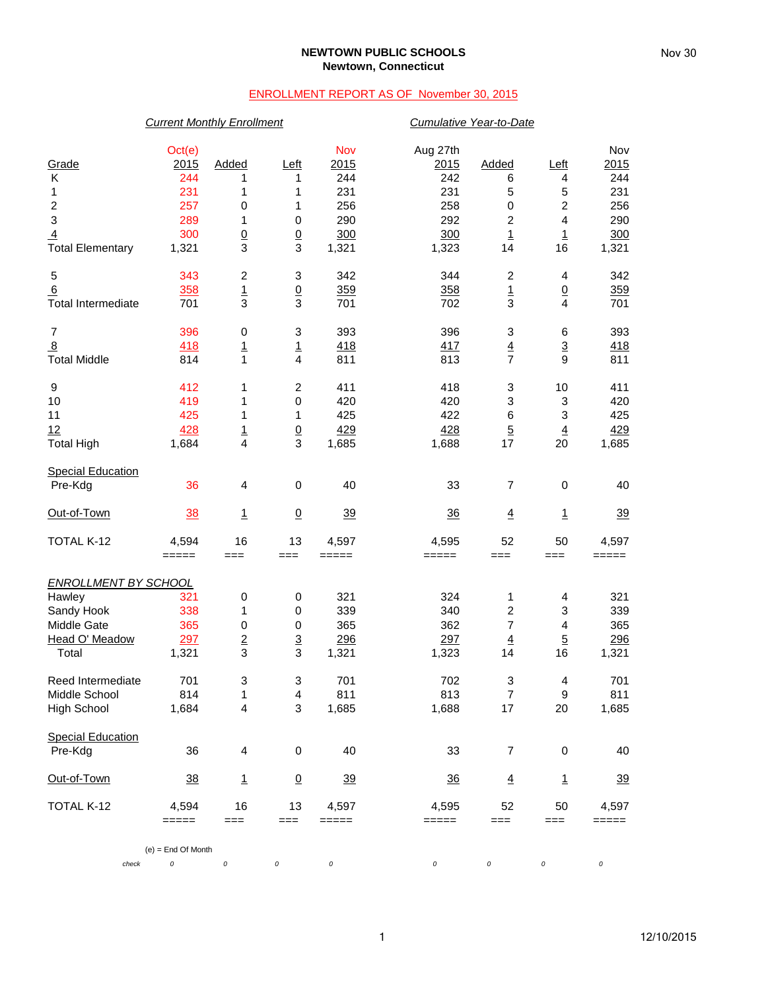### **NEWTOWN PUBLIC SCHOOLS Newtown, Connecticut**

## ENROLLMENT REPORT AS OF November 30, 2015

### *Current Monthly Enrollment Cumulative Year-to-Date*

| Grade                       | Oct(e)<br>2015       | Added                            | Left                 | Nov<br>2015 | Aug 27th<br>2015 | Added                   | Left                                       | Nov<br>2015                                                                                                                                                                                                                                                     |  |
|-----------------------------|----------------------|----------------------------------|----------------------|-------------|------------------|-------------------------|--------------------------------------------|-----------------------------------------------------------------------------------------------------------------------------------------------------------------------------------------------------------------------------------------------------------------|--|
| Κ                           | 244                  | 1                                | 1                    | 244         | 242              | 6                       | 4                                          | 244                                                                                                                                                                                                                                                             |  |
| 1                           | 231                  | 1                                | 1                    | 231         | 231              | 5                       | 5                                          | 231                                                                                                                                                                                                                                                             |  |
| $\boldsymbol{2}$            | 257                  | 0                                | 1                    | 256         | 258              | 0                       | $\overline{\mathbf{c}}$                    | 256                                                                                                                                                                                                                                                             |  |
| $\ensuremath{\mathsf{3}}$   | 289                  | 1                                | $\,0\,$              | 290         | 292              | $\overline{\mathbf{c}}$ | $\overline{\mathbf{4}}$                    | 290                                                                                                                                                                                                                                                             |  |
| $\overline{4}$              | 300                  | $\frac{0}{3}$                    | $\frac{0}{3}$        | 300         | 300              | $\overline{1}$          | $\overline{1}$                             | 300                                                                                                                                                                                                                                                             |  |
| <b>Total Elementary</b>     | 1,321                |                                  |                      | 1,321       | 1,323            | 14                      | 16                                         | 1,321                                                                                                                                                                                                                                                           |  |
| 5                           | 343                  | 2                                | 3                    | 342         | 344              | 2                       | 4                                          | 342                                                                                                                                                                                                                                                             |  |
| 6                           | 358                  | $\overline{1}$<br>$\overline{3}$ | $\underline{0}$<br>3 | 359         | 358              | 1<br>3                  | $\underline{0}$<br>$\overline{\mathbf{4}}$ | 359                                                                                                                                                                                                                                                             |  |
| <b>Total Intermediate</b>   | 701                  |                                  |                      | 701         | 702              |                         |                                            | 701                                                                                                                                                                                                                                                             |  |
| $\overline{7}$              | 396                  | 0                                | 3                    | 393         | 396              | 3                       | 6                                          | 393                                                                                                                                                                                                                                                             |  |
| $\overline{8}$              | 418                  | 1                                | $\overline{1}$       | 418         | 417              | $\frac{4}{7}$           | $\overline{3}$                             | 418                                                                                                                                                                                                                                                             |  |
| <b>Total Middle</b>         | 814                  | $\mathbf{1}$                     | $\overline{4}$       | 811         | 813              |                         | 9                                          | 811                                                                                                                                                                                                                                                             |  |
| 9                           | 412                  | 1                                | $\boldsymbol{2}$     | 411         | 418              | 3                       | 10                                         | 411                                                                                                                                                                                                                                                             |  |
| 10                          | 419                  | 1                                | $\,0\,$              | 420         | 420              | 3                       |                                            |                                                                                                                                                                                                                                                                 |  |
| 11                          | 425                  | 1                                | 1                    | 425         | 422              | $\,6$                   |                                            |                                                                                                                                                                                                                                                                 |  |
| 12                          | 428                  | $\overline{1}$                   | $\underline{0}$      | 429         | 428              | $\overline{5}$          |                                            |                                                                                                                                                                                                                                                                 |  |
| <b>Total High</b>           | 1,684                | 4                                | 3                    | 1,685       | 1,688            | 17                      |                                            |                                                                                                                                                                                                                                                                 |  |
| <b>Special Education</b>    |                      |                                  |                      |             |                  |                         |                                            |                                                                                                                                                                                                                                                                 |  |
| Pre-Kdg                     | 36                   | 4                                | 0                    | 40          | 33               | 7                       |                                            |                                                                                                                                                                                                                                                                 |  |
| Out-of-Town                 | 38                   | 1                                | $\underline{0}$      | 39          | 36               | $\overline{4}$          | $\mathbf{1}$                               | 39                                                                                                                                                                                                                                                              |  |
| TOTAL K-12                  | 4,594                | 16                               | 13                   | 4,597       | 4,595            | 52                      | 50                                         | 4,597                                                                                                                                                                                                                                                           |  |
|                             | $=====$              | $==$                             | $==$                 | =====       | =====            | ===                     | ===                                        | =====                                                                                                                                                                                                                                                           |  |
| <b>ENROLLMENT BY SCHOOL</b> |                      |                                  |                      |             |                  |                         |                                            |                                                                                                                                                                                                                                                                 |  |
| Hawley                      | 321                  | 0                                | 0                    | 321         | 324              | 1                       |                                            |                                                                                                                                                                                                                                                                 |  |
| Sandy Hook                  | 338                  | 1                                | $\,0\,$              | 339         | 340              | $\overline{c}$          |                                            |                                                                                                                                                                                                                                                                 |  |
| Middle Gate                 | 365                  | $\pmb{0}$                        | $\,0\,$              | 365         | 362              | $\overline{7}$          |                                            |                                                                                                                                                                                                                                                                 |  |
| Head O' Meadow              | 297                  | $\overline{2}$                   | $\underline{3}$      | 296         | 297              | $\overline{4}$          |                                            |                                                                                                                                                                                                                                                                 |  |
| Total                       | 1,321                | 3                                | 3                    | 1,321       | 1,323            | 14                      |                                            |                                                                                                                                                                                                                                                                 |  |
| Reed Intermediate           | 701                  | 3                                | 3                    | 701         | 702              | 3                       | 4                                          | 701                                                                                                                                                                                                                                                             |  |
| Middle School               | 814                  | 1                                | 4                    | 811         | 813              | $\overline{7}$          |                                            |                                                                                                                                                                                                                                                                 |  |
| <b>High School</b>          | 1,684                | 4                                | 3                    | 1,685       | 1,688            | 17                      |                                            |                                                                                                                                                                                                                                                                 |  |
| <b>Special Education</b>    |                      |                                  |                      |             |                  |                         |                                            |                                                                                                                                                                                                                                                                 |  |
| Pre-Kdg                     | 36                   | 4                                | 0                    | 40          | 33               | 7                       |                                            |                                                                                                                                                                                                                                                                 |  |
| Out-of-Town                 | <u>38</u>            | $\overline{1}$                   | $\overline{0}$       | <u>39</u>   | $\frac{36}{5}$   | $\overline{4}$          | 1                                          | <u>39</u>                                                                                                                                                                                                                                                       |  |
| TOTAL K-12                  | 4,594                | 16                               | 13                   | 4,597       | 4,595            | 52                      | 50                                         | 4,597                                                                                                                                                                                                                                                           |  |
|                             | $=====$              | $==$                             | $==$                 | $=====$     | =====            | $==$                    | ===                                        | $\ensuremath{\mathsf{3}}$<br>420<br>$\ensuremath{\mathsf{3}}$<br>425<br>$\overline{4}$<br>429<br>20<br>1,685<br>$\pmb{0}$<br>40<br>4<br>321<br>3<br>339<br>4<br>365<br>$\overline{5}$<br>296<br>16<br>1,321<br>9<br>811<br>20<br>1,685<br>40<br>0<br>=====<br>0 |  |
|                             | $(e)$ = End Of Month |                                  |                      |             |                  |                         |                                            |                                                                                                                                                                                                                                                                 |  |
| check                       | 0                    | $\cal O$                         | 0                    | 0           | 0                | 0                       | 0                                          |                                                                                                                                                                                                                                                                 |  |